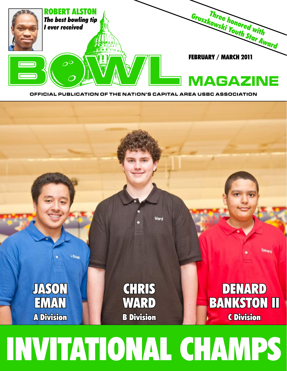

OFFICIAL PUBLICATION OF THE NATION'S CAPITAL AREA USBC ASSOCIATION



1. Eman

**TASON** 

**ENVAN** 

**A Division** 

Denard

DENARD

**BANKSTON II** 

**C Division** 



**CHRIS** 

WARD

**B** Division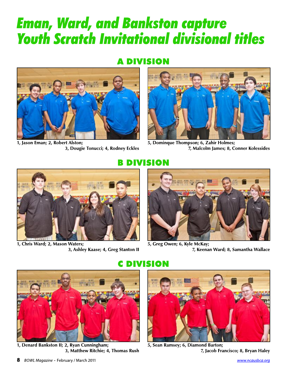# **Eman, Ward, and Bankston capture Youth Scratch Invitational divisional titles**

### A DIVISION



1, Jason Eman; 2, Robert Alston; 3, Dougie Tonucci; 4, Rodney Eckles



5, Dominque Thompson; 6, Zahir Holmes; 7, Malcolm James; 8, Conner Kolessides



1, Chris Ward; 2, Mason Waters; 3, Ashley Kaase; 4, Greg Stanton II

#### DIVISION



5, Greg Owen; 6, Kyle McKay; 7, Keenan Ward; 8, Samantha Wallace



1, Denard Bankston II; 2, Ryan Cunningham; 3, Matthew Ritchie; 4, Thomas Rush

#### **C DIVISION**



5, Sean Ramsey; 6, Diamond Barton; 7, Jacob Francisco; 8, Bryan Haley